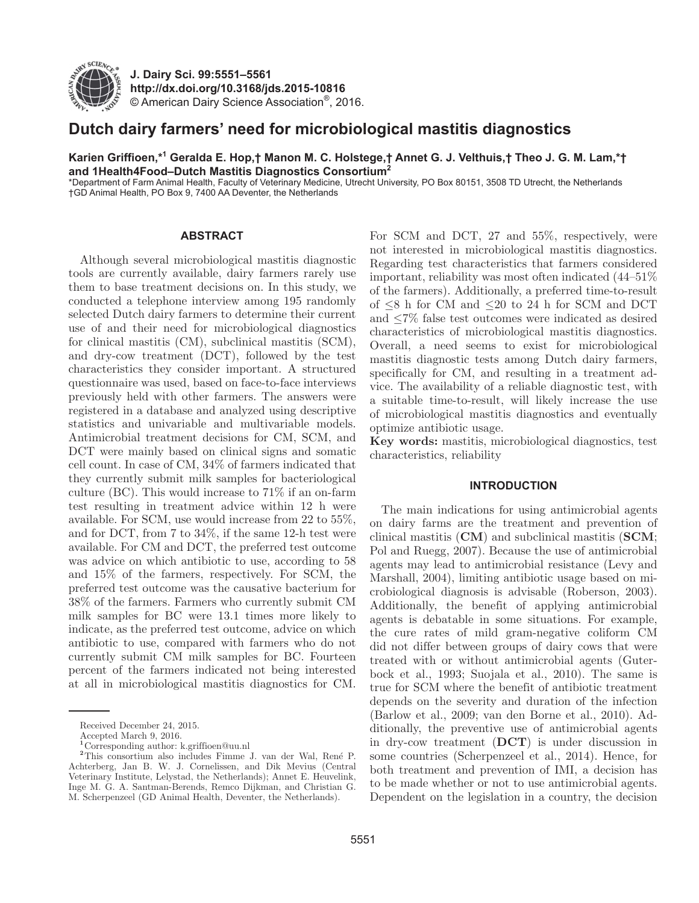

**J. Dairy Sci. 99:5551–5561 http://dx.doi.org/10.3168/jds.2015-10816** © American Dairy Science Association®, 2016.

# **Dutch dairy farmers' need for microbiological mastitis diagnostics**

# Karien Griffioen,\*<sup>1</sup> Geralda E. Hop,† Manon M. C. Holstege,† Annet G. J. Velthuis,† Theo J. G. M. Lam,\*† **and 1Health4Food–Dutch Mastitis Diagnostics Consortium2**

\*Department of Farm Animal Health, Faculty of Veterinary Medicine, Utrecht University, PO Box 80151, 3508 TD Utrecht, the Netherlands †GD Animal Health, PO Box 9, 7400 AA Deventer, the Netherlands

# **ABSTRACT**

Although several microbiological mastitis diagnostic tools are currently available, dairy farmers rarely use them to base treatment decisions on. In this study, we conducted a telephone interview among 195 randomly selected Dutch dairy farmers to determine their current use of and their need for microbiological diagnostics for clinical mastitis (CM), subclinical mastitis (SCM), and dry-cow treatment (DCT), followed by the test characteristics they consider important. A structured questionnaire was used, based on face-to-face interviews previously held with other farmers. The answers were registered in a database and analyzed using descriptive statistics and univariable and multivariable models. Antimicrobial treatment decisions for CM, SCM, and DCT were mainly based on clinical signs and somatic cell count. In case of CM, 34% of farmers indicated that they currently submit milk samples for bacteriological culture (BC). This would increase to 71% if an on-farm test resulting in treatment advice within 12 h were available. For SCM, use would increase from 22 to 55%, and for DCT, from 7 to 34%, if the same 12-h test were available. For CM and DCT, the preferred test outcome was advice on which antibiotic to use, according to 58 and 15% of the farmers, respectively. For SCM, the preferred test outcome was the causative bacterium for 38% of the farmers. Farmers who currently submit CM milk samples for BC were 13.1 times more likely to indicate, as the preferred test outcome, advice on which antibiotic to use, compared with farmers who do not currently submit CM milk samples for BC. Fourteen percent of the farmers indicated not being interested at all in microbiological mastitis diagnostics for CM. For SCM and DCT, 27 and 55%, respectively, were not interested in microbiological mastitis diagnostics. Regarding test characteristics that farmers considered important, reliability was most often indicated (44–51% of the farmers). Additionally, a preferred time-to-result of  $\leq$ 8 h for CM and  $\leq$ 20 to 24 h for SCM and DCT and ≤7% false test outcomes were indicated as desired characteristics of microbiological mastitis diagnostics. Overall, a need seems to exist for microbiological mastitis diagnostic tests among Dutch dairy farmers, specifically for CM, and resulting in a treatment advice. The availability of a reliable diagnostic test, with a suitable time-to-result, will likely increase the use of microbiological mastitis diagnostics and eventually optimize antibiotic usage.

**Key words:** mastitis, microbiological diagnostics, test characteristics, reliability

#### **INTRODUCTION**

The main indications for using antimicrobial agents on dairy farms are the treatment and prevention of clinical mastitis (**CM**) and subclinical mastitis (**SCM**; Pol and Ruegg, 2007). Because the use of antimicrobial agents may lead to antimicrobial resistance (Levy and Marshall, 2004), limiting antibiotic usage based on microbiological diagnosis is advisable (Roberson, 2003). Additionally, the benefit of applying antimicrobial agents is debatable in some situations. For example, the cure rates of mild gram-negative coliform CM did not differ between groups of dairy cows that were treated with or without antimicrobial agents (Guterbock et al., 1993; Suojala et al., 2010). The same is true for SCM where the benefit of antibiotic treatment depends on the severity and duration of the infection (Barlow et al., 2009; van den Borne et al., 2010). Additionally, the preventive use of antimicrobial agents in dry-cow treatment (**DCT**) is under discussion in some countries (Scherpenzeel et al., 2014). Hence, for both treatment and prevention of IMI, a decision has to be made whether or not to use antimicrobial agents. Dependent on the legislation in a country, the decision

Received December 24, 2015.

Accepted March 9, 2016.

**<sup>1</sup>**Corresponding author: k.griffioen@uu.nl

**<sup>2</sup>**This consortium also includes Fimme J. van der Wal, René P. Achterberg, Jan B. W. J. Cornelissen, and Dik Mevius (Central Veterinary Institute, Lelystad, the Netherlands); Annet E. Heuvelink, Inge M. G. A. Santman-Berends, Remco Dijkman, and Christian G. M. Scherpenzeel (GD Animal Health, Deventer, the Netherlands).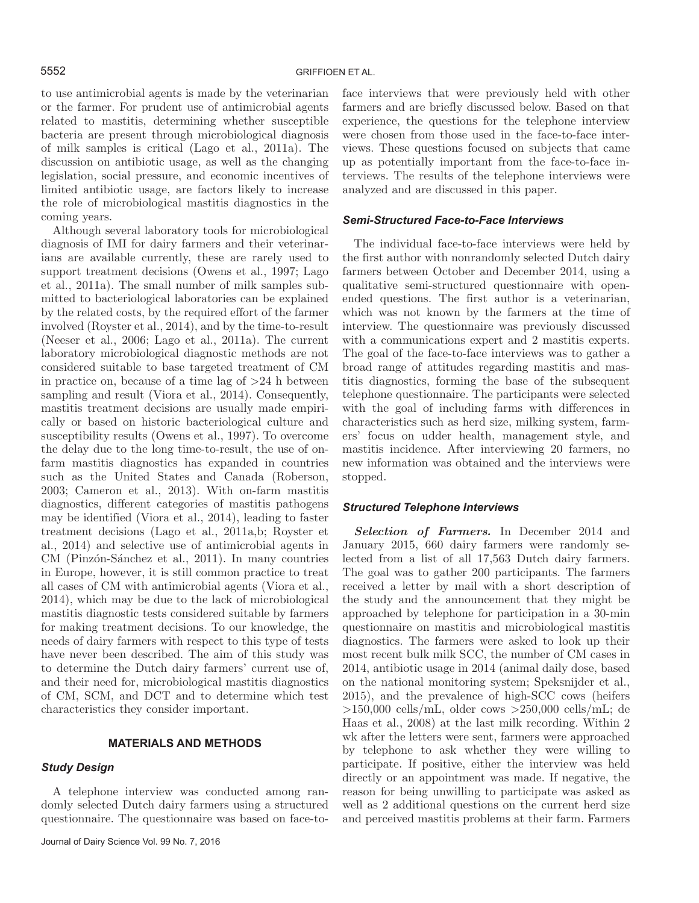to use antimicrobial agents is made by the veterinarian or the farmer. For prudent use of antimicrobial agents related to mastitis, determining whether susceptible bacteria are present through microbiological diagnosis of milk samples is critical (Lago et al., 2011a). The discussion on antibiotic usage, as well as the changing legislation, social pressure, and economic incentives of limited antibiotic usage, are factors likely to increase the role of microbiological mastitis diagnostics in the coming years.

Although several laboratory tools for microbiological diagnosis of IMI for dairy farmers and their veterinarians are available currently, these are rarely used to support treatment decisions (Owens et al., 1997; Lago et al., 2011a). The small number of milk samples submitted to bacteriological laboratories can be explained by the related costs, by the required effort of the farmer involved (Royster et al., 2014), and by the time-to-result (Neeser et al., 2006; Lago et al., 2011a). The current laboratory microbiological diagnostic methods are not considered suitable to base targeted treatment of CM in practice on, because of a time lag of  $>24$  h between sampling and result (Viora et al., 2014). Consequently, mastitis treatment decisions are usually made empirically or based on historic bacteriological culture and susceptibility results (Owens et al., 1997). To overcome the delay due to the long time-to-result, the use of onfarm mastitis diagnostics has expanded in countries such as the United States and Canada (Roberson, 2003; Cameron et al., 2013). With on-farm mastitis diagnostics, different categories of mastitis pathogens may be identified (Viora et al., 2014), leading to faster treatment decisions (Lago et al., 2011a,b; Royster et al., 2014) and selective use of antimicrobial agents in CM (Pinzón-Sánchez et al., 2011). In many countries in Europe, however, it is still common practice to treat all cases of CM with antimicrobial agents (Viora et al., 2014), which may be due to the lack of microbiological mastitis diagnostic tests considered suitable by farmers for making treatment decisions. To our knowledge, the needs of dairy farmers with respect to this type of tests have never been described. The aim of this study was to determine the Dutch dairy farmers' current use of, and their need for, microbiological mastitis diagnostics of CM, SCM, and DCT and to determine which test characteristics they consider important.

#### **MATERIALS AND METHODS**

#### *Study Design*

A telephone interview was conducted among randomly selected Dutch dairy farmers using a structured questionnaire. The questionnaire was based on face-toface interviews that were previously held with other farmers and are briefly discussed below. Based on that experience, the questions for the telephone interview were chosen from those used in the face-to-face interviews. These questions focused on subjects that came up as potentially important from the face-to-face interviews. The results of the telephone interviews were analyzed and are discussed in this paper.

## *Semi-Structured Face-to-Face Interviews*

The individual face-to-face interviews were held by the first author with nonrandomly selected Dutch dairy farmers between October and December 2014, using a qualitative semi-structured questionnaire with openended questions. The first author is a veterinarian, which was not known by the farmers at the time of interview. The questionnaire was previously discussed with a communications expert and 2 mastitis experts. The goal of the face-to-face interviews was to gather a broad range of attitudes regarding mastitis and mastitis diagnostics, forming the base of the subsequent telephone questionnaire. The participants were selected with the goal of including farms with differences in characteristics such as herd size, milking system, farmers' focus on udder health, management style, and mastitis incidence. After interviewing 20 farmers, no new information was obtained and the interviews were stopped.

#### *Structured Telephone Interviews*

*Selection of Farmers.* In December 2014 and January 2015, 660 dairy farmers were randomly selected from a list of all 17,563 Dutch dairy farmers. The goal was to gather 200 participants. The farmers received a letter by mail with a short description of the study and the announcement that they might be approached by telephone for participation in a 30-min questionnaire on mastitis and microbiological mastitis diagnostics. The farmers were asked to look up their most recent bulk milk SCC, the number of CM cases in 2014, antibiotic usage in 2014 (animal daily dose, based on the national monitoring system; Speksnijder et al., 2015), and the prevalence of high-SCC cows (heifers >150,000 cells/mL, older cows >250,000 cells/mL; de Haas et al., 2008) at the last milk recording. Within 2 wk after the letters were sent, farmers were approached by telephone to ask whether they were willing to participate. If positive, either the interview was held directly or an appointment was made. If negative, the reason for being unwilling to participate was asked as well as 2 additional questions on the current herd size and perceived mastitis problems at their farm. Farmers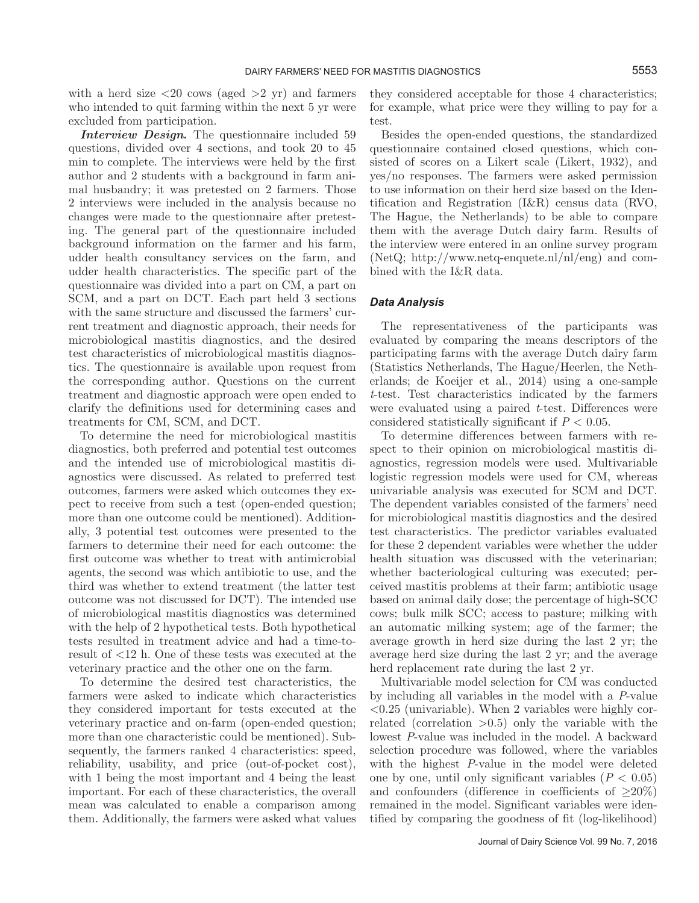with a herd size  $\langle 20 \text{ cows} \rangle$  (aged  $>2 \text{ yr}$ ) and farmers who intended to quit farming within the next 5 yr were excluded from participation.

*Interview Design.* The questionnaire included 59 questions, divided over 4 sections, and took 20 to 45 min to complete. The interviews were held by the first author and 2 students with a background in farm animal husbandry; it was pretested on 2 farmers. Those 2 interviews were included in the analysis because no changes were made to the questionnaire after pretesting. The general part of the questionnaire included background information on the farmer and his farm, udder health consultancy services on the farm, and udder health characteristics. The specific part of the questionnaire was divided into a part on CM, a part on SCM, and a part on DCT. Each part held 3 sections with the same structure and discussed the farmers' current treatment and diagnostic approach, their needs for microbiological mastitis diagnostics, and the desired test characteristics of microbiological mastitis diagnostics. The questionnaire is available upon request from the corresponding author. Questions on the current treatment and diagnostic approach were open ended to clarify the definitions used for determining cases and treatments for CM, SCM, and DCT.

To determine the need for microbiological mastitis diagnostics, both preferred and potential test outcomes and the intended use of microbiological mastitis diagnostics were discussed. As related to preferred test outcomes, farmers were asked which outcomes they expect to receive from such a test (open-ended question; more than one outcome could be mentioned). Additionally, 3 potential test outcomes were presented to the farmers to determine their need for each outcome: the first outcome was whether to treat with antimicrobial agents, the second was which antibiotic to use, and the third was whether to extend treatment (the latter test outcome was not discussed for DCT). The intended use of microbiological mastitis diagnostics was determined with the help of 2 hypothetical tests. Both hypothetical tests resulted in treatment advice and had a time-toresult of <12 h. One of these tests was executed at the veterinary practice and the other one on the farm.

To determine the desired test characteristics, the farmers were asked to indicate which characteristics they considered important for tests executed at the veterinary practice and on-farm (open-ended question; more than one characteristic could be mentioned). Subsequently, the farmers ranked 4 characteristics: speed, reliability, usability, and price (out-of-pocket cost), with 1 being the most important and 4 being the least important. For each of these characteristics, the overall mean was calculated to enable a comparison among them. Additionally, the farmers were asked what values they considered acceptable for those 4 characteristics; for example, what price were they willing to pay for a test.

Besides the open-ended questions, the standardized questionnaire contained closed questions, which consisted of scores on a Likert scale (Likert, 1932), and yes/no responses. The farmers were asked permission to use information on their herd size based on the Identification and Registration (I&R) census data (RVO, The Hague, the Netherlands) to be able to compare them with the average Dutch dairy farm. Results of the interview were entered in an online survey program (NetQ; http://www.netq-enquete.nl/nl/eng) and combined with the I&R data.

#### *Data Analysis*

The representativeness of the participants was evaluated by comparing the means descriptors of the participating farms with the average Dutch dairy farm (Statistics Netherlands, The Hague/Heerlen, the Netherlands; de Koeijer et al., 2014) using a one-sample *t*-test. Test characteristics indicated by the farmers were evaluated using a paired *t*-test. Differences were considered statistically significant if  $P < 0.05$ .

To determine differences between farmers with respect to their opinion on microbiological mastitis diagnostics, regression models were used. Multivariable logistic regression models were used for CM, whereas univariable analysis was executed for SCM and DCT. The dependent variables consisted of the farmers' need for microbiological mastitis diagnostics and the desired test characteristics. The predictor variables evaluated for these 2 dependent variables were whether the udder health situation was discussed with the veterinarian; whether bacteriological culturing was executed; perceived mastitis problems at their farm; antibiotic usage based on animal daily dose; the percentage of high-SCC cows; bulk milk SCC; access to pasture; milking with an automatic milking system; age of the farmer; the average growth in herd size during the last 2 yr; the average herd size during the last 2 yr; and the average herd replacement rate during the last 2 yr.

Multivariable model selection for CM was conducted by including all variables in the model with a *P*-value  $\langle 0.25 \rangle$  (univariable). When 2 variables were highly correlated (correlation  $>0.5$ ) only the variable with the lowest *P*-value was included in the model. A backward selection procedure was followed, where the variables with the highest *P*-value in the model were deleted one by one, until only significant variables  $(P < 0.05)$ and confounders (difference in coefficients of  $>20\%$ ) remained in the model. Significant variables were identified by comparing the goodness of fit (log-likelihood)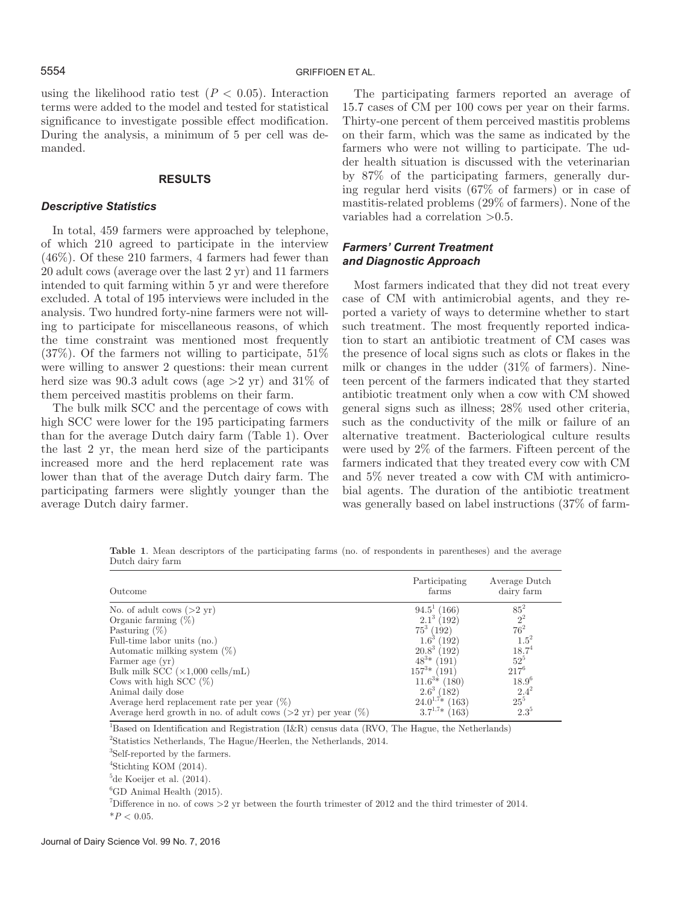using the likelihood ratio test  $(P < 0.05)$ . Interaction terms were added to the model and tested for statistical significance to investigate possible effect modification. During the analysis, a minimum of 5 per cell was demanded.

#### **RESULTS**

#### *Descriptive Statistics*

In total, 459 farmers were approached by telephone, of which 210 agreed to participate in the interview (46%). Of these 210 farmers, 4 farmers had fewer than 20 adult cows (average over the last 2 yr) and 11 farmers intended to quit farming within 5 yr and were therefore excluded. A total of 195 interviews were included in the analysis. Two hundred forty-nine farmers were not willing to participate for miscellaneous reasons, of which the time constraint was mentioned most frequently  $(37\%)$ . Of the farmers not willing to participate,  $51\%$ were willing to answer 2 questions: their mean current herd size was 90.3 adult cows (age  $>2$  yr) and 31% of them perceived mastitis problems on their farm.

The bulk milk SCC and the percentage of cows with high SCC were lower for the 195 participating farmers than for the average Dutch dairy farm (Table 1). Over the last 2 yr, the mean herd size of the participants increased more and the herd replacement rate was lower than that of the average Dutch dairy farm. The participating farmers were slightly younger than the average Dutch dairy farmer.

The participating farmers reported an average of 15.7 cases of CM per 100 cows per year on their farms. Thirty-one percent of them perceived mastitis problems on their farm, which was the same as indicated by the farmers who were not willing to participate. The udder health situation is discussed with the veterinarian by 87% of the participating farmers, generally during regular herd visits (67% of farmers) or in case of mastitis-related problems (29% of farmers). None of the variables had a correlation >0.5.

# *Farmers' Current Treatment and Diagnostic Approach*

Most farmers indicated that they did not treat every case of CM with antimicrobial agents, and they reported a variety of ways to determine whether to start such treatment. The most frequently reported indication to start an antibiotic treatment of CM cases was the presence of local signs such as clots or flakes in the milk or changes in the udder (31% of farmers). Nineteen percent of the farmers indicated that they started antibiotic treatment only when a cow with CM showed general signs such as illness; 28% used other criteria, such as the conductivity of the milk or failure of an alternative treatment. Bacteriological culture results were used by 2% of the farmers. Fifteen percent of the farmers indicated that they treated every cow with CM and 5% never treated a cow with CM with antimicrobial agents. The duration of the antibiotic treatment was generally based on label instructions (37% of farm-

**Table 1**. Mean descriptors of the participating farms (no. of respondents in parentheses) and the average Dutch dairy farm

| Outcome                                                                    | Participating<br>farms | Average Dutch<br>dairy farm |
|----------------------------------------------------------------------------|------------------------|-----------------------------|
| No. of adult cows $(>2 \text{ yr})$                                        | $94.5^{\text{T}}(166)$ | $85^2$                      |
| Organic farming $(\%)$                                                     | $2.1^3$ (192)          | $\frac{2^2}{76^2}$          |
| Pasturing $(\%)$                                                           | $75^3\,$<br>(192)      |                             |
| Full-time labor units (no.)                                                | $1.6^3$<br>(192)       |                             |
| Automatic milking system $(\%)$                                            | $20.8^3$ (192)         | $\frac{1.5^2}{18.7^4}$ 525  |
| Farmer age (yr)                                                            | $48^{3*}$ (191)        |                             |
| Bulk milk SCC $(\times1,000 \text{ cells/mL})$                             | $157^{3*}$ (191)       | $217^{6}$                   |
| Cows with high SCC $(\%)$                                                  | $11.6^{3*}$ (180)      | $18.9^{6}$                  |
| Animal daily dose                                                          | $2.6^3$ (182)          | $\frac{2.4^2}{25^5}$        |
| Average herd replacement rate per year $(\%)$                              | $24.0^{1.7*}$<br>(163) |                             |
| Average herd growth in no. of adult cows $(>2 \text{ yr})$ per year $(\%)$ | $3.7^{1,7*}$<br>(163)  | $2.3^{5}$                   |

1 Based on Identification and Registration (I&R) census data (RVO, The Hague, the Netherlands) <sup>2</sup>Statistics Netherlands, The Hague/Heerlen, the Netherlands, 2014.

3 Self-reported by the farmers.

4 Stichting KOM (2014).

 $5$ de Koeijer et al.  $(2014)$ .

6 GD Animal Health (2015).

7 Difference in no. of cows >2 yr between the fourth trimester of 2012 and the third trimester of 2014.  $*P < 0.05$ .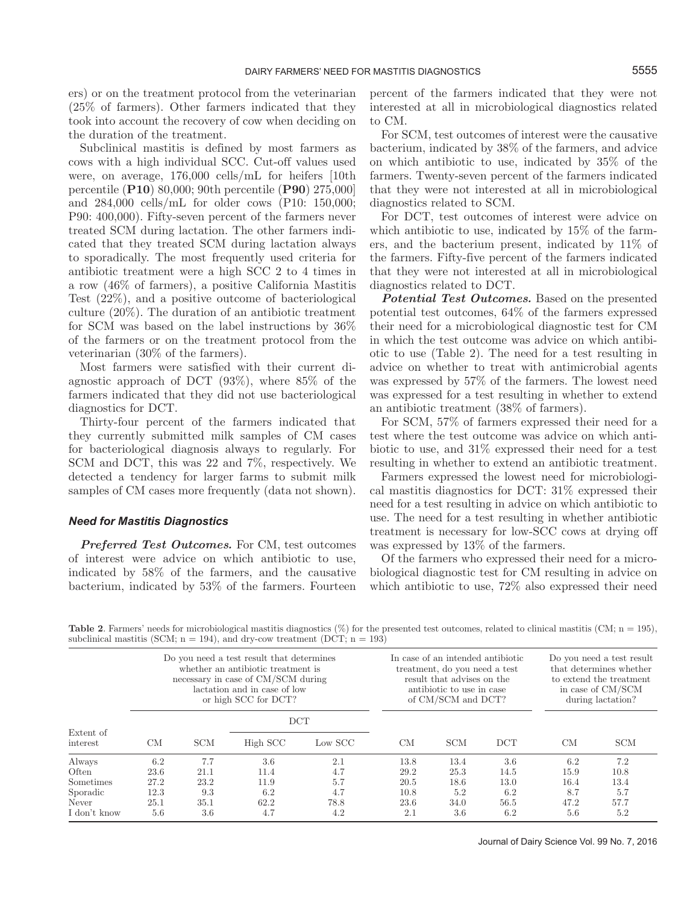ers) or on the treatment protocol from the veterinarian (25% of farmers). Other farmers indicated that they took into account the recovery of cow when deciding on the duration of the treatment.

Subclinical mastitis is defined by most farmers as cows with a high individual SCC. Cut-off values used were, on average, 176,000 cells/mL for heifers [10th percentile (**P10**) 80,000; 90th percentile (**P90**) 275,000] and 284,000 cells/mL for older cows (P10: 150,000; P90: 400,000). Fifty-seven percent of the farmers never treated SCM during lactation. The other farmers indicated that they treated SCM during lactation always to sporadically. The most frequently used criteria for antibiotic treatment were a high SCC 2 to 4 times in a row (46% of farmers), a positive California Mastitis Test (22%), and a positive outcome of bacteriological culture (20%). The duration of an antibiotic treatment for SCM was based on the label instructions by 36% of the farmers or on the treatment protocol from the veterinarian (30% of the farmers).

Most farmers were satisfied with their current diagnostic approach of DCT (93%), where 85% of the farmers indicated that they did not use bacteriological diagnostics for DCT.

Thirty-four percent of the farmers indicated that they currently submitted milk samples of CM cases for bacteriological diagnosis always to regularly. For SCM and DCT, this was 22 and 7%, respectively. We detected a tendency for larger farms to submit milk samples of CM cases more frequently (data not shown).

#### *Need for Mastitis Diagnostics*

*Preferred Test Outcomes.* For CM, test outcomes of interest were advice on which antibiotic to use, indicated by 58% of the farmers, and the causative bacterium, indicated by 53% of the farmers. Fourteen percent of the farmers indicated that they were not interested at all in microbiological diagnostics related to CM.

For SCM, test outcomes of interest were the causative bacterium, indicated by 38% of the farmers, and advice on which antibiotic to use, indicated by 35% of the farmers. Twenty-seven percent of the farmers indicated that they were not interested at all in microbiological diagnostics related to SCM.

For DCT, test outcomes of interest were advice on which antibiotic to use, indicated by 15% of the farmers, and the bacterium present, indicated by 11% of the farmers. Fifty-five percent of the farmers indicated that they were not interested at all in microbiological diagnostics related to DCT.

*Potential Test Outcomes.* Based on the presented potential test outcomes, 64% of the farmers expressed their need for a microbiological diagnostic test for CM in which the test outcome was advice on which antibiotic to use (Table 2). The need for a test resulting in advice on whether to treat with antimicrobial agents was expressed by 57% of the farmers. The lowest need was expressed for a test resulting in whether to extend an antibiotic treatment (38% of farmers).

For SCM, 57% of farmers expressed their need for a test where the test outcome was advice on which antibiotic to use, and 31% expressed their need for a test resulting in whether to extend an antibiotic treatment.

Farmers expressed the lowest need for microbiological mastitis diagnostics for DCT: 31% expressed their need for a test resulting in advice on which antibiotic to use. The need for a test resulting in whether antibiotic treatment is necessary for low-SCC cows at drying off was expressed by 13% of the farmers.

Of the farmers who expressed their need for a microbiological diagnostic test for CM resulting in advice on which antibiotic to use, 72% also expressed their need

**Table 2**. Farmers' needs for microbiological mastitis diagnostics  $(\%)$  for the presented test outcomes, related to clinical mastitis (CM; n = 195), subclinical mastitis (SCM;  $n = 194$ ), and dry-cow treatment (DCT;  $n = 193$ )

|                       |      |            | Do you need a test result that determines<br>whether an antibiotic treatment is<br>necessary in case of CM/SCM during<br>lactation and in case of low<br>or high SCC for DCT? |         |           | In case of an intended antibiotic<br>treatment, do you need a test<br>result that advises on the<br>antibiotic to use in case<br>of CM/SCM and DCT? |            |           | Do you need a test result<br>that determines whether<br>to extend the treatment<br>in case of CM/SCM<br>during lactation? |
|-----------------------|------|------------|-------------------------------------------------------------------------------------------------------------------------------------------------------------------------------|---------|-----------|-----------------------------------------------------------------------------------------------------------------------------------------------------|------------|-----------|---------------------------------------------------------------------------------------------------------------------------|
|                       |      |            | DCT                                                                                                                                                                           |         |           |                                                                                                                                                     |            |           |                                                                                                                           |
| Extent of<br>interest | CМ   | <b>SCM</b> | High SCC                                                                                                                                                                      | Low SCC | <b>CM</b> | <b>SCM</b>                                                                                                                                          | <b>DCT</b> | <b>CM</b> | SCM                                                                                                                       |
| Always                | 6.2  | 7.7        | 3.6                                                                                                                                                                           | 2.1     | 13.8      | 13.4                                                                                                                                                | 3.6        | 6.2       | 7.2                                                                                                                       |
| Often                 | 23.6 | 21.1       | 11.4                                                                                                                                                                          | 4.7     | 29.2      | 25.3                                                                                                                                                | 14.5       | 15.9      | 10.8                                                                                                                      |
| Sometimes             | 27.2 | 23.2       | 11.9                                                                                                                                                                          | 5.7     | 20.5      | 18.6                                                                                                                                                | 13.0       | 16.4      | 13.4                                                                                                                      |
| Sporadic              | 12.3 | 9.3        | 6.2                                                                                                                                                                           | 4.7     | 10.8      | 5.2                                                                                                                                                 | 6.2        | 8.7       | 5.7                                                                                                                       |
| Never                 | 25.1 | 35.1       | 62.2                                                                                                                                                                          | 78.8    | 23.6      | 34.0                                                                                                                                                | 56.5       | 47.2      | 57.7                                                                                                                      |
| I don't know          | 5.6  | 3.6        | 4.7                                                                                                                                                                           | 4.2     | 2.1       | 3.6                                                                                                                                                 | 6.2        | 5.6       | 5.2                                                                                                                       |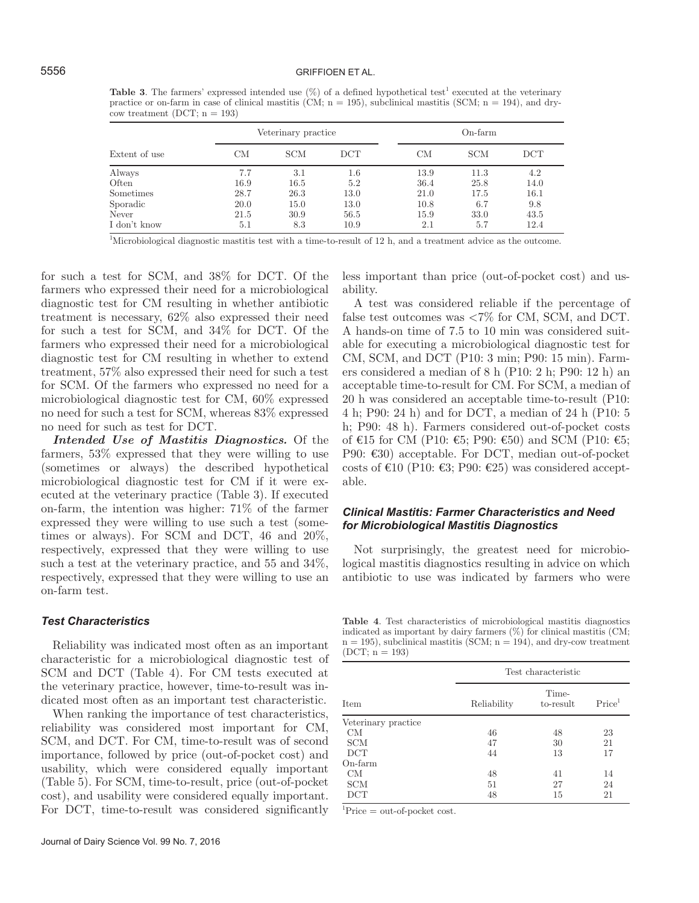**Table 3**. The farmers' expressed intended use  $(\%)$  of a defined hypothetical test<sup>1</sup> executed at the veterinary practice or on-farm in case of clinical mastitis (CM;  $n = 195$ ), subclinical mastitis (SCM;  $n = 194$ ), and drycow treatment (DCT;  $n = 193$ )

|               | Veterinary practice |            |         |      | On-farm    |      |  |  |
|---------------|---------------------|------------|---------|------|------------|------|--|--|
| Extent of use | CМ                  | <b>SCM</b> | DCT     | CМ   | <b>SCM</b> | DCT  |  |  |
| Always        | 7.7                 | 3.1        | $1.6\,$ | 13.9 | 11.3       | 4.2  |  |  |
| Often         | 16.9                | 16.5       | 5.2     | 36.4 | 25.8       | 14.0 |  |  |
| Sometimes     | 28.7                | 26.3       | 13.0    | 21.0 | 17.5       | 16.1 |  |  |
| Sporadic      | 20.0                | 15.0       | 13.0    | 10.8 | 6.7        | 9.8  |  |  |
| Never         | 21.5                | 30.9       | 56.5    | 15.9 | 33.0       | 43.5 |  |  |
| I don't know  | 5.1                 | 8.3        | 10.9    | 2.1  | 5.7        | 12.4 |  |  |

1 Microbiological diagnostic mastitis test with a time-to-result of 12 h, and a treatment advice as the outcome.

for such a test for SCM, and 38% for DCT. Of the farmers who expressed their need for a microbiological diagnostic test for CM resulting in whether antibiotic treatment is necessary, 62% also expressed their need for such a test for SCM, and 34% for DCT. Of the farmers who expressed their need for a microbiological diagnostic test for CM resulting in whether to extend treatment, 57% also expressed their need for such a test for SCM. Of the farmers who expressed no need for a microbiological diagnostic test for CM, 60% expressed no need for such a test for SCM, whereas 83% expressed no need for such as test for DCT.

*Intended Use of Mastitis Diagnostics.* Of the farmers, 53% expressed that they were willing to use (sometimes or always) the described hypothetical microbiological diagnostic test for CM if it were executed at the veterinary practice (Table 3). If executed on-farm, the intention was higher: 71% of the farmer expressed they were willing to use such a test (sometimes or always). For SCM and DCT, 46 and 20%, respectively, expressed that they were willing to use such a test at the veterinary practice, and 55 and 34%, respectively, expressed that they were willing to use an on-farm test.

### *Test Characteristics*

Reliability was indicated most often as an important characteristic for a microbiological diagnostic test of SCM and DCT (Table 4). For CM tests executed at the veterinary practice, however, time-to-result was indicated most often as an important test characteristic.

When ranking the importance of test characteristics, reliability was considered most important for CM, SCM, and DCT. For CM, time-to-result was of second importance, followed by price (out-of-pocket cost) and usability, which were considered equally important (Table 5). For SCM, time-to-result, price (out-of-pocket cost), and usability were considered equally important. For DCT, time-to-result was considered significantly

Journal of Dairy Science Vol. 99 No. 7, 2016

less important than price (out-of-pocket cost) and usability.

A test was considered reliable if the percentage of false test outcomes was <7% for CM, SCM, and DCT. A hands-on time of 7.5 to 10 min was considered suitable for executing a microbiological diagnostic test for CM, SCM, and DCT (P10: 3 min; P90: 15 min). Farmers considered a median of 8 h (P10: 2 h; P90: 12 h) an acceptable time-to-result for CM. For SCM, a median of 20 h was considered an acceptable time-to-result (P10: 4 h; P90: 24 h) and for DCT, a median of 24 h (P10: 5 h; P90: 48 h). Farmers considered out-of-pocket costs of €15 for CM (P10: €5; P90: €50) and SCM (P10: €5; P90: €30) acceptable. For DCT, median out-of-pocket costs of  $\epsilon$ 10 (P10:  $\epsilon$ 3; P90:  $\epsilon$ 25) was considered acceptable.

# *Clinical Mastitis: Farmer Characteristics and Need for Microbiological Mastitis Diagnostics*

Not surprisingly, the greatest need for microbiological mastitis diagnostics resulting in advice on which antibiotic to use was indicated by farmers who were

**Table 4**. Test characteristics of microbiological mastitis diagnostics indicated as important by dairy farmers  $(\%)$  for clinical mastitis (CM;  $n = 195$ , subclinical mastitis (SCM;  $n = 194$ ), and dry-cow treatment  $(DCT; n = 193)$ 

|                     |             | Test characteristic |                    |  |  |  |  |
|---------------------|-------------|---------------------|--------------------|--|--|--|--|
| Item                | Reliability | Time-<br>to-result  | Price <sup>1</sup> |  |  |  |  |
| Veterinary practice |             |                     |                    |  |  |  |  |
| <b>CM</b>           | 46          | 48                  | 23                 |  |  |  |  |
| <b>SCM</b>          | 47          | 30                  | 21                 |  |  |  |  |
| <b>DCT</b>          | 44          | 13                  | 17                 |  |  |  |  |
| $On-farm$           |             |                     |                    |  |  |  |  |
| CМ                  | 48          | 41                  | 14                 |  |  |  |  |
| <b>SCM</b>          | 51          | 27                  | 24                 |  |  |  |  |
| $_{\mathrm{DCT}}$   | 48          | 15                  | 21                 |  |  |  |  |

 ${}^{1}$ Price = out-of-pocket cost.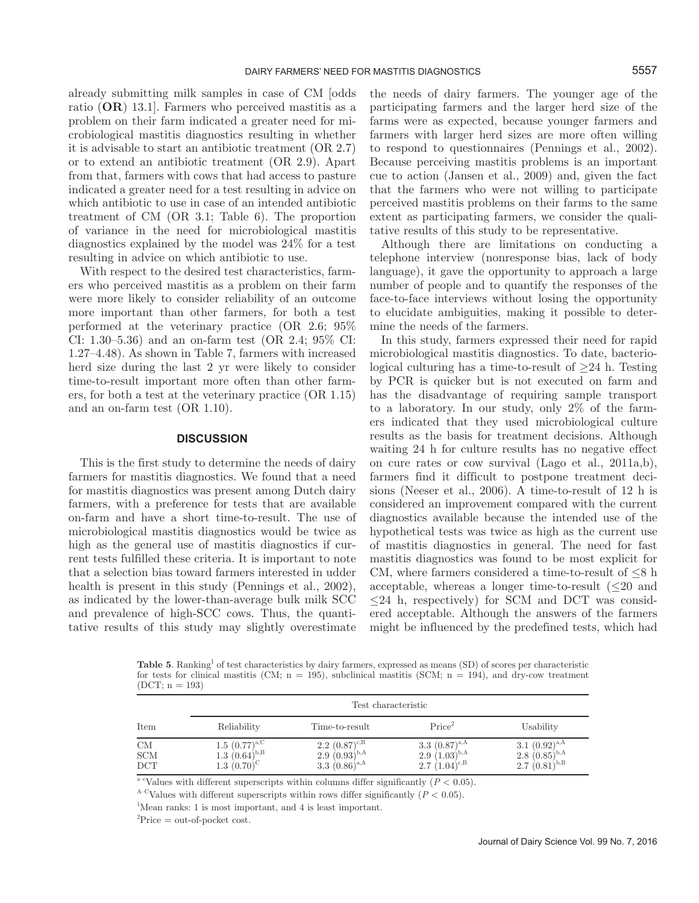already submitting milk samples in case of CM [odds ratio (**OR**) 13.1]. Farmers who perceived mastitis as a problem on their farm indicated a greater need for microbiological mastitis diagnostics resulting in whether it is advisable to start an antibiotic treatment (OR 2.7) or to extend an antibiotic treatment (OR 2.9). Apart from that, farmers with cows that had access to pasture indicated a greater need for a test resulting in advice on which antibiotic to use in case of an intended antibiotic treatment of CM (OR 3.1; Table 6). The proportion of variance in the need for microbiological mastitis diagnostics explained by the model was 24% for a test resulting in advice on which antibiotic to use.

With respect to the desired test characteristics, farmers who perceived mastitis as a problem on their farm were more likely to consider reliability of an outcome more important than other farmers, for both a test performed at the veterinary practice (OR 2.6; 95% CI: 1.30–5.36) and an on-farm test (OR 2.4; 95% CI: 1.27–4.48). As shown in Table 7, farmers with increased herd size during the last 2 yr were likely to consider time-to-result important more often than other farmers, for both a test at the veterinary practice (OR 1.15) and an on-farm test (OR 1.10).

#### **DISCUSSION**

This is the first study to determine the needs of dairy farmers for mastitis diagnostics. We found that a need for mastitis diagnostics was present among Dutch dairy farmers, with a preference for tests that are available on-farm and have a short time-to-result. The use of microbiological mastitis diagnostics would be twice as high as the general use of mastitis diagnostics if current tests fulfilled these criteria. It is important to note that a selection bias toward farmers interested in udder health is present in this study (Pennings et al., 2002), as indicated by the lower-than-average bulk milk SCC and prevalence of high-SCC cows. Thus, the quantitative results of this study may slightly overestimate the needs of dairy farmers. The younger age of the participating farmers and the larger herd size of the farms were as expected, because younger farmers and farmers with larger herd sizes are more often willing to respond to questionnaires (Pennings et al., 2002). Because perceiving mastitis problems is an important cue to action (Jansen et al., 2009) and, given the fact that the farmers who were not willing to participate perceived mastitis problems on their farms to the same extent as participating farmers, we consider the qualitative results of this study to be representative.

Although there are limitations on conducting a telephone interview (nonresponse bias, lack of body language), it gave the opportunity to approach a large number of people and to quantify the responses of the face-to-face interviews without losing the opportunity to elucidate ambiguities, making it possible to determine the needs of the farmers.

In this study, farmers expressed their need for rapid microbiological mastitis diagnostics. To date, bacteriological culturing has a time-to-result of ≥24 h. Testing by PCR is quicker but is not executed on farm and has the disadvantage of requiring sample transport to a laboratory. In our study, only 2% of the farmers indicated that they used microbiological culture results as the basis for treatment decisions. Although waiting 24 h for culture results has no negative effect on cure rates or cow survival (Lago et al., 2011a,b), farmers find it difficult to postpone treatment decisions (Neeser et al., 2006). A time-to-result of 12 h is considered an improvement compared with the current diagnostics available because the intended use of the hypothetical tests was twice as high as the current use of mastitis diagnostics in general. The need for fast mastitis diagnostics was found to be most explicit for CM, where farmers considered a time-to-result of  $\leq 8$  h acceptable, whereas a longer time-to-result  $\leq 20$  and  $\leq$ 24 h, respectively) for SCM and DCT was considered acceptable. Although the answers of the farmers might be influenced by the predefined tests, which had

**Table 5**. Ranking<sup>1</sup> of test characteristics by dairy farmers, expressed as means (SD) of scores per characteristic for tests for clinical mastitis (CM;  $n = 195$ ), subclinical mastitis (SCM;  $n = 194$ ), and dry-cow treatment  $(DCT; n = 193)$ 

|                                | Test characteristic                                                   |                                                             |                                                             |                                                                       |  |  |  |
|--------------------------------|-----------------------------------------------------------------------|-------------------------------------------------------------|-------------------------------------------------------------|-----------------------------------------------------------------------|--|--|--|
| Item                           | Reliability                                                           | Time-to-result                                              | Price <sup>2</sup>                                          | Usability                                                             |  |  |  |
| <b>CM</b><br><b>SCM</b><br>DCT | 1.5 $(0.77)^{a,C}_{a,C}$<br>$1.3(0.64)^{b,B}$<br>1.3 $(0.70)^{\circ}$ | $2.2 (0.87)^{c,B}_{2.9 (0.93)^{b,A}}$<br>3.3 $(0.86)^{a,A}$ | $3.3 (0.87)^{a,A}_{2.9 (1.03)^{b,A}}$<br>2.7 $(1.04)^{c,B}$ | $\substack{3.1~(0.92)^{a,A} \\ 2.8~(0.85)^{b,A} \\ 2.7~(0.81)^{b,B}}$ |  |  |  |

 $a^{-c}$ Values with different superscripts within columns differ significantly ( $P < 0.05$ ).

 $^{A-C}$ Values with different superscripts within rows differ significantly ( $P < 0.05$ ).

<sup>1</sup>Mean ranks: 1 is most important, and 4 is least important.

 ${}^{2}$ Price = out-of-pocket cost.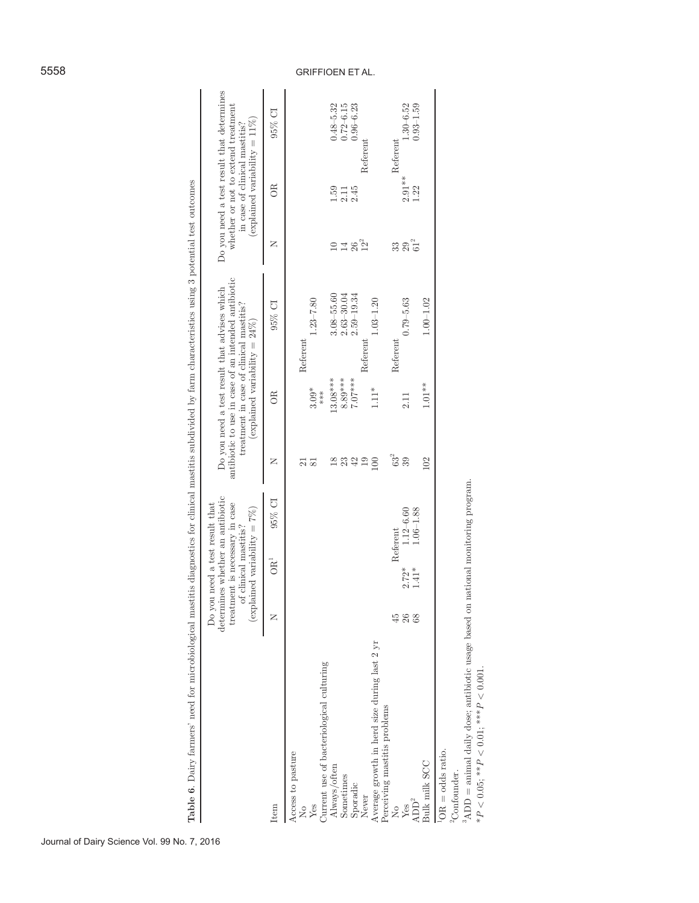|                                                                            |              | of clinical mastitis? | determines whether an antibiotic<br>Do you need a test result that<br>treatment is necessary in case<br>(explained variability = $7\%$ ) |                    | treatment in case of clinical mastitis?<br>$\exp$ lained variability = | antibiotic to use in case of an intended antibiotic<br>Do you need a test result that advises which<br>24%) |                                               | (explained variability = $11\%$ )<br>in case of clinical mastitis? | Do you need a test result that determines<br>whether or not to extend treatment |
|----------------------------------------------------------------------------|--------------|-----------------------|------------------------------------------------------------------------------------------------------------------------------------------|--------------------|------------------------------------------------------------------------|-------------------------------------------------------------------------------------------------------------|-----------------------------------------------|--------------------------------------------------------------------|---------------------------------------------------------------------------------|
| Item                                                                       | Z            | <b>BU</b>             | 95% CI                                                                                                                                   | Z                  | $\mathbb{B}$                                                           | 95% CI                                                                                                      | z                                             | $\mathbb{B}$                                                       | 95% CI                                                                          |
| Current use of bacteriological culturing<br>Access to pasture<br>Yes<br>Σò |              |                       |                                                                                                                                          | $\frac{21}{81}$    | $3.09*$<br>***                                                         | $1.23 - 7.80$<br>Referent                                                                                   |                                               |                                                                    |                                                                                 |
| Always/often                                                               |              |                       |                                                                                                                                          |                    | 13.08***                                                               | $3.08 - 55.60$                                                                                              | $\Box$                                        | 1.59                                                               |                                                                                 |
| Sometimes                                                                  |              |                       |                                                                                                                                          | $\overset{18}{23}$ |                                                                        | $2.63 - 30.04$                                                                                              |                                               | $2.11\,$                                                           | $0.48 - 5.32$<br>$0.72 - 6.15$                                                  |
| Sporadic                                                                   |              |                       |                                                                                                                                          | $42\,$             | $***68.8$<br>***0.8.8                                                  | $2.59 - 19.34$                                                                                              | $14\atop 26\atop 12\atop 2$                   | 2.45                                                               | $0.96 - 6.23$                                                                   |
| Never                                                                      |              |                       |                                                                                                                                          | $19\,$             |                                                                        | Referent                                                                                                    |                                               |                                                                    | Referent                                                                        |
| Average growth in herd size during last 2 yr                               |              |                       |                                                                                                                                          | 100                | $1.11*$                                                                | $1.03 - 1.20$                                                                                               |                                               |                                                                    |                                                                                 |
| Perceiving mastitis problems<br>Σó                                         | 45           |                       | Referent                                                                                                                                 | $63^{2}$           |                                                                        | Referent                                                                                                    |                                               |                                                                    | Referent                                                                        |
| $\mathop{\mathrm{Yes}}\limits_{\mathrm{ADD}^2}$                            | $^{26}_{68}$ | $2.72*$               | $1.12 - 6.60$                                                                                                                            | 39                 | 2.11                                                                   | $0.79 - 5.63$                                                                                               | $\begin{array}{c} 33 \\ 29 \\ 61 \end{array}$ | $2.91***$                                                          | $1.30 - 6.52$                                                                   |
| Bulk milk SCC                                                              |              | $1.41*$               | $1.06 - 1.88$                                                                                                                            | 102                | $1.01**$                                                               | $1.00 - 1.02$                                                                                               |                                               | 1.22                                                               | $0.93 - 1.59$                                                                   |

# 5558 GRIFFIOEN ET AL.

 $^3 \mathrm{ADD}$  = animal daily dose; antibiotic usage based on national monitoring program. 3ADD = animal daily dose; antibiotic usage based on national monitoring program.

 $^{\ast }P<0.05;\; ^{\ast \ast }P<0.01;\; ^{\ast \ast \ast }P<0.001.$  $P < 0.001$ .  $P < 0.01$ ; \*\*\*  $*P < 0.05$ ; \*\*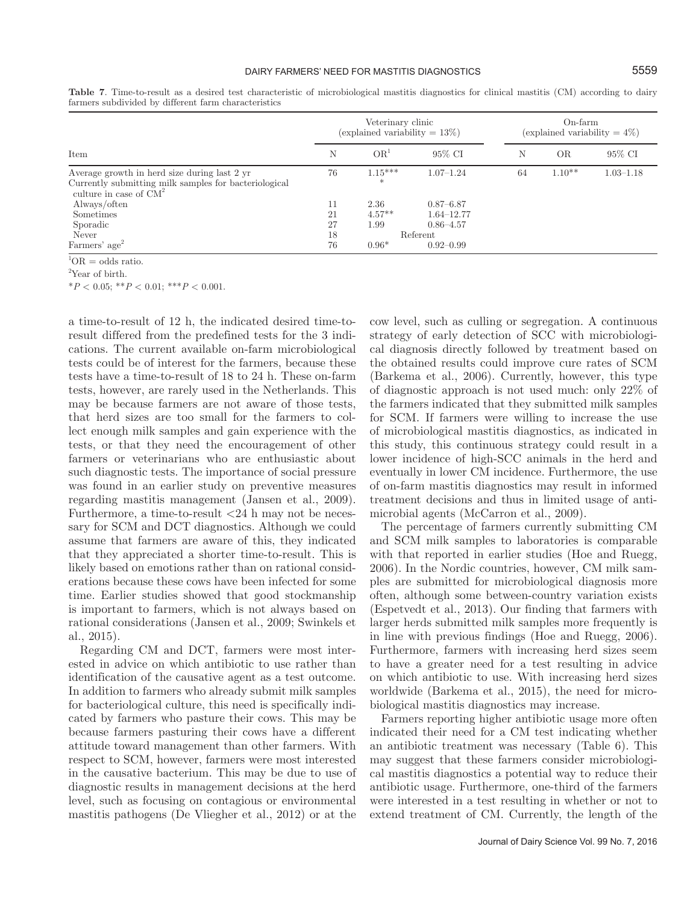|                                                                                                                                    | Veterinary clinic<br>(explained variability $= 13\%)$ |                     |                |    | $On-farm$<br>(explained variability $= 4\%$ ) |               |  |
|------------------------------------------------------------------------------------------------------------------------------------|-------------------------------------------------------|---------------------|----------------|----|-----------------------------------------------|---------------|--|
| Item                                                                                                                               | Ν                                                     | OR <sup>1</sup>     | 95% CI         | Ν  | <b>OR</b>                                     | 95% CI        |  |
| Average growth in herd size during last 2 yr<br>Currently submitting milk samples for bacteriological<br>culture in case of $CM^2$ | 76                                                    | $1.15***$<br>$\ast$ | $1.07 - 1.24$  | 64 | $1.10**$                                      | $1.03 - 1.18$ |  |
| Always/often                                                                                                                       | 11                                                    | 2.36                | $0.87 - 6.87$  |    |                                               |               |  |
| Sometimes                                                                                                                          | 21                                                    | $4.57**$            | $1.64 - 12.77$ |    |                                               |               |  |
| Sporadic                                                                                                                           | 27                                                    | 1.99                | $0.86 - 4.57$  |    |                                               |               |  |
| Never                                                                                                                              | 18                                                    |                     | Referent       |    |                                               |               |  |
| Farmers' age <sup>2</sup>                                                                                                          | 76                                                    | $0.96*$             | $0.92 - 0.99$  |    |                                               |               |  |

Table 7. Time-to-result as a desired test characteristic of microbiological mastitis diagnostics for clinical mastitis (CM) according to dairy farmers subdivided by different farm characteristics

 ${}^{1}OR = \text{odds ratio}.$ 

<sup>2</sup>Year of birth.

\**P* < 0.05; \*\**P* < 0.01; \*\*\**P* < 0.001.

a time-to-result of 12 h, the indicated desired time-toresult differed from the predefined tests for the 3 indications. The current available on-farm microbiological tests could be of interest for the farmers, because these tests have a time-to-result of 18 to 24 h. These on-farm tests, however, are rarely used in the Netherlands. This may be because farmers are not aware of those tests, that herd sizes are too small for the farmers to collect enough milk samples and gain experience with the tests, or that they need the encouragement of other farmers or veterinarians who are enthusiastic about such diagnostic tests. The importance of social pressure was found in an earlier study on preventive measures regarding mastitis management (Jansen et al., 2009). Furthermore, a time-to-result  $\langle 24 \rangle$  h may not be necessary for SCM and DCT diagnostics. Although we could assume that farmers are aware of this, they indicated that they appreciated a shorter time-to-result. This is likely based on emotions rather than on rational considerations because these cows have been infected for some time. Earlier studies showed that good stockmanship is important to farmers, which is not always based on rational considerations (Jansen et al., 2009; Swinkels et al., 2015).

Regarding CM and DCT, farmers were most interested in advice on which antibiotic to use rather than identification of the causative agent as a test outcome. In addition to farmers who already submit milk samples for bacteriological culture, this need is specifically indicated by farmers who pasture their cows. This may be because farmers pasturing their cows have a different attitude toward management than other farmers. With respect to SCM, however, farmers were most interested in the causative bacterium. This may be due to use of diagnostic results in management decisions at the herd level, such as focusing on contagious or environmental mastitis pathogens (De Vliegher et al., 2012) or at the cow level, such as culling or segregation. A continuous strategy of early detection of SCC with microbiological diagnosis directly followed by treatment based on the obtained results could improve cure rates of SCM (Barkema et al., 2006). Currently, however, this type of diagnostic approach is not used much: only 22% of the farmers indicated that they submitted milk samples for SCM. If farmers were willing to increase the use of microbiological mastitis diagnostics, as indicated in this study, this continuous strategy could result in a lower incidence of high-SCC animals in the herd and eventually in lower CM incidence. Furthermore, the use of on-farm mastitis diagnostics may result in informed treatment decisions and thus in limited usage of antimicrobial agents (McCarron et al., 2009).

The percentage of farmers currently submitting CM and SCM milk samples to laboratories is comparable with that reported in earlier studies (Hoe and Ruegg, 2006). In the Nordic countries, however, CM milk samples are submitted for microbiological diagnosis more often, although some between-country variation exists (Espetvedt et al., 2013). Our finding that farmers with larger herds submitted milk samples more frequently is in line with previous findings (Hoe and Ruegg, 2006). Furthermore, farmers with increasing herd sizes seem to have a greater need for a test resulting in advice on which antibiotic to use. With increasing herd sizes worldwide (Barkema et al., 2015), the need for microbiological mastitis diagnostics may increase.

Farmers reporting higher antibiotic usage more often indicated their need for a CM test indicating whether an antibiotic treatment was necessary (Table 6). This may suggest that these farmers consider microbiological mastitis diagnostics a potential way to reduce their antibiotic usage. Furthermore, one-third of the farmers were interested in a test resulting in whether or not to extend treatment of CM. Currently, the length of the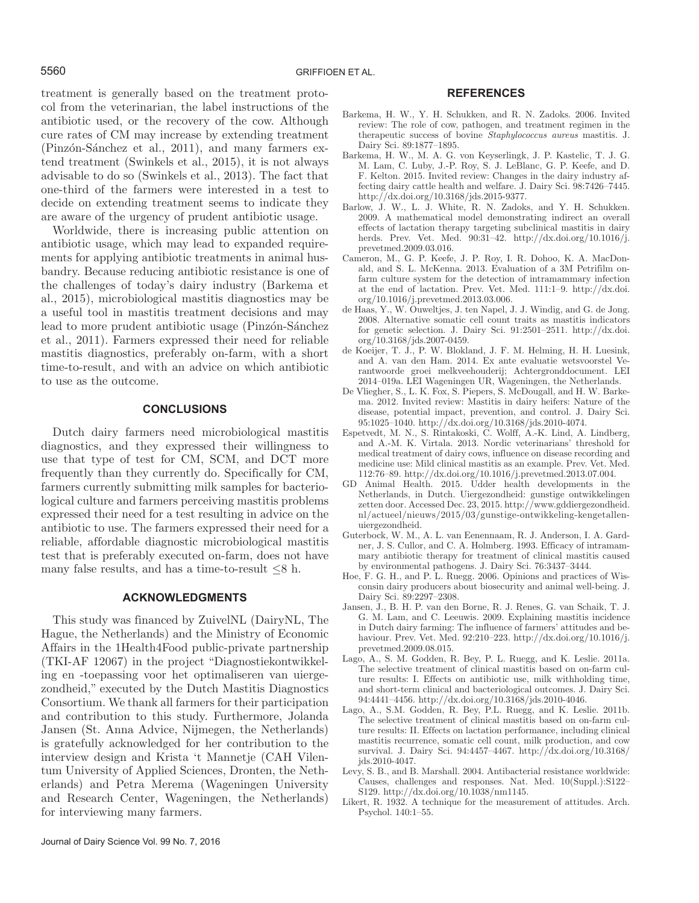treatment is generally based on the treatment protocol from the veterinarian, the label instructions of the antibiotic used, or the recovery of the cow. Although cure rates of CM may increase by extending treatment (Pinzón-Sánchez et al., 2011), and many farmers extend treatment (Swinkels et al., 2015), it is not always advisable to do so (Swinkels et al., 2013). The fact that one-third of the farmers were interested in a test to decide on extending treatment seems to indicate they are aware of the urgency of prudent antibiotic usage.

Worldwide, there is increasing public attention on antibiotic usage, which may lead to expanded requirements for applying antibiotic treatments in animal husbandry. Because reducing antibiotic resistance is one of the challenges of today's dairy industry (Barkema et al., 2015), microbiological mastitis diagnostics may be a useful tool in mastitis treatment decisions and may lead to more prudent antibiotic usage (Pinzón-Sánchez et al., 2011). Farmers expressed their need for reliable mastitis diagnostics, preferably on-farm, with a short time-to-result, and with an advice on which antibiotic to use as the outcome.

### **CONCLUSIONS**

Dutch dairy farmers need microbiological mastitis diagnostics, and they expressed their willingness to use that type of test for CM, SCM, and DCT more frequently than they currently do. Specifically for CM, farmers currently submitting milk samples for bacteriological culture and farmers perceiving mastitis problems expressed their need for a test resulting in advice on the antibiotic to use. The farmers expressed their need for a reliable, affordable diagnostic microbiological mastitis test that is preferably executed on-farm, does not have many false results, and has a time-to-result  $\leq 8$  h.

## **ACKNOWLEDGMENTS**

This study was financed by ZuivelNL (DairyNL, The Hague, the Netherlands) and the Ministry of Economic Affairs in the 1Health4Food public-private partnership (TKI-AF 12067) in the project "Diagnostiekontwikkeling en -toepassing voor het optimaliseren van uiergezondheid," executed by the Dutch Mastitis Diagnostics Consortium. We thank all farmers for their participation and contribution to this study. Furthermore, Jolanda Jansen (St. Anna Advice, Nijmegen, the Netherlands) is gratefully acknowledged for her contribution to the interview design and Krista 't Mannetje (CAH Vilentum University of Applied Sciences, Dronten, the Netherlands) and Petra Merema (Wageningen University and Research Center, Wageningen, the Netherlands) for interviewing many farmers.

#### **REFERENCES**

- Barkema, H. W., Y. H. Schukken, and R. N. Zadoks. 2006. Invited review: The role of cow, pathogen, and treatment regimen in the therapeutic success of bovine *Staphylococcus aureus* mastitis. J. Dairy Sci. 89:1877–1895.
- Barkema, H. W., M. A. G. von Keyserlingk, J. P. Kastelic, T. J. G. M. Lam, C. Luby, J.-P. Roy, S. J. LeBlanc, G. P. Keefe, and D. F. Kelton. 2015. Invited review: Changes in the dairy industry affecting dairy cattle health and welfare. J. Dairy Sci. 98:7426–7445. http://dx.doi.org/10.3168/jds.2015-9377.
- Barlow, J. W., L. J. White, R. N. Zadoks, and Y. H. Schukken. 2009. A mathematical model demonstrating indirect an overall effects of lactation therapy targeting subclinical mastitis in dairy herds. Prev. Vet. Med. 90:31–42. http://dx.doi.org/10.1016/j. prevetmed.2009.03.016.
- Cameron, M., G. P. Keefe, J. P. Roy, I. R. Dohoo, K. A. MacDonald, and S. L. McKenna. 2013. Evaluation of a 3M Petrifilm onfarm culture system for the detection of intramammary infection at the end of lactation. Prev. Vet. Med. 111:1–9. http://dx.doi. org/10.1016/j.prevetmed.2013.03.006.
- de Haas, Y., W. Ouweltjes, J. ten Napel, J. J. Windig, and G. de Jong. 2008. Alternative somatic cell count traits as mastitis indicators for genetic selection. J. Dairy Sci. 91:2501–2511. http://dx.doi. org/10.3168/jds.2007-0459.
- de Koeijer, T. J., P. W. Blokland, J. F. M. Helming, H. H. Luesink, and A. van den Ham. 2014. Ex ante evaluatie wetsvoorstel Verantwoorde groei melkveehouderij; Achtergronddocument. LEI 2014–019a. LEI Wageningen UR, Wageningen, the Netherlands.
- De Vliegher, S., L. K. Fox, S. Piepers, S. McDougall, and H. W. Barkema. 2012. Invited review: Mastitis in dairy heifers: Nature of the disease, potential impact, prevention, and control. J. Dairy Sci. 95:1025–1040. http://dx.doi.org/10.3168/jds.2010-4074.
- Espetvedt, M. N., S. Rintakoski, C. Wolff, A.-K. Lind, A. Lindberg, and A.-M. K. Virtala. 2013. Nordic veterinarians' threshold for medical treatment of dairy cows, influence on disease recording and medicine use: Mild clinical mastitis as an example. Prev. Vet. Med. 112:76–89. http://dx.doi.org/10.1016/j.prevetmed.2013.07.004.
- GD Animal Health. 2015. Udder health developments in the Netherlands, in Dutch. Uiergezondheid: gunstige ontwikkelingen zetten door. Accessed Dec. 23, 2015. http://www.gddiergezondheid. nl/actueel/nieuws/2015/03/gunstige-ontwikkeling-kengetallenuiergezondheid.
- Guterbock, W. M., A. L. van Eenennaam, R. J. Anderson, I. A. Gardner, J. S. Cullor, and C. A. Holmberg. 1993. Efficacy of intramammary antibiotic therapy for treatment of clinical mastitis caused by environmental pathogens. J. Dairy Sci. 76:3437–3444.
- Hoe, F. G. H., and P. L. Ruegg. 2006. Opinions and practices of Wisconsin dairy producers about biosecurity and animal well-being. J. Dairy Sci. 89:2297–2308.
- Jansen, J., B. H. P. van den Borne, R. J. Renes, G. van Schaik, T. J. G. M. Lam, and C. Leeuwis. 2009. Explaining mastitis incidence in Dutch dairy farming: The influence of farmers' attitudes and behaviour. Prev. Vet. Med. 92:210–223. http://dx.doi.org/10.1016/j. prevetmed.2009.08.015.
- Lago, A., S. M. Godden, R. Bey, P. L. Ruegg, and K. Leslie. 2011a. The selective treatment of clinical mastitis based on on-farm culture results: I. Effects on antibiotic use, milk withholding time, and short-term clinical and bacteriological outcomes. J. Dairy Sci. 94:4441–4456. http://dx.doi.org/10.3168/jds.2010-4046.
- Lago, A., S.M. Godden, R. Bey, P.L. Ruegg, and K. Leslie. 2011b. The selective treatment of clinical mastitis based on on-farm culture results: II. Effects on lactation performance, including clinical mastitis recurrence, somatic cell count, milk production, and cow survival. J. Dairy Sci. 94:4457–4467. http://dx.doi.org/10.3168/ jds.2010-4047.
- Levy, S. B., and B. Marshall. 2004. Antibacterial resistance worldwide: Causes, challenges and responses. Nat. Med. 10(Suppl.):S122– S129. http://dx.doi.org/10.1038/nm1145.
- Likert, R. 1932. A technique for the measurement of attitudes. Arch. Psychol. 140:1–55.